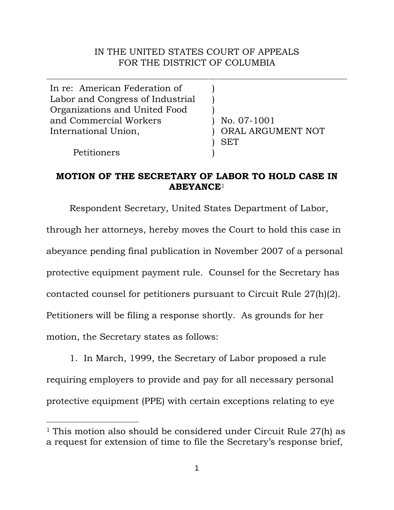## IN THE UNITED STATES COURT OF APPEALS FOR THE DISTRICT OF COLUMBIA

In re: American Federation of Labor and Congress of Industrial Organizations and United Food and Commercial Workers International Union, ) ) ) ) ) SET

Petitioners

 $\overline{a}$ 

) No. 07-1001 ORAL ARGUMENT NOT

## **MOTION OF THE SECRETARY OF LABOR TO HOLD CASE IN ABEYANCE**[1](#page-0-0)

)

Respondent Secretary, United States Department of Labor, through her attorneys, hereby moves the Court to hold this case in abeyance pending final publication in November 2007 of a personal protective equipment payment rule. Counsel for the Secretary has contacted counsel for petitioners pursuant to Circuit Rule 27(h)(2). Petitioners will be filing a response shortly. As grounds for her motion, the Secretary states as follows:

1. In March, 1999, the Secretary of Labor proposed a rule requiring employers to provide and pay for all necessary personal protective equipment (PPE) with certain exceptions relating to eye

<span id="page-0-0"></span><sup>1</sup> This motion also should be considered under Circuit Rule 27(h) as a request for extension of time to file the Secretary's response brief,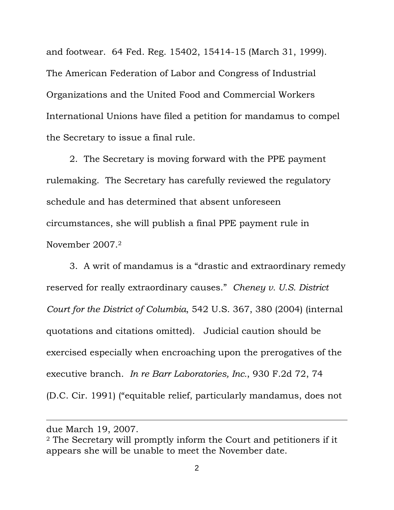and footwear. 64 Fed. Reg. 15402, 15414-15 (March 31, 1999). The American Federation of Labor and Congress of Industrial Organizations and the United Food and Commercial Workers International Unions have filed a petition for mandamus to compel the Secretary to issue a final rule.

2. The Secretary is moving forward with the PPE payment rulemaking. The Secretary has carefully reviewed the regulatory schedule and has determined that absent unforeseen circumstances, she will publish a final PPE payment rule in November 2007[.2](#page-1-0)

3. A writ of mandamus is a "drastic and extraordinary remedy reserved for really extraordinary causes." *Cheney v. U.S. District Court for the District of Columbia*, 542 U.S. 367, 380 (2004) (internal quotations and citations omitted). Judicial caution should be exercised especially when encroaching upon the prerogatives of the executive branch. *In re Barr Laboratories, Inc.*, 930 F.2d 72, 74 (D.C. Cir. 1991) ("equitable relief, particularly mandamus, does not

 $\overline{a}$ 

due March 19, 2007.

<span id="page-1-0"></span><sup>2</sup> The Secretary will promptly inform the Court and petitioners if it appears she will be unable to meet the November date.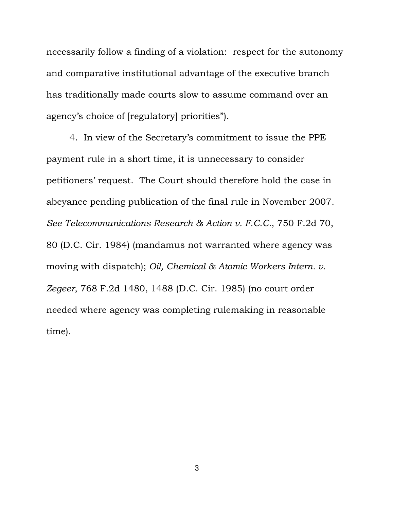necessarily follow a finding of a violation: respect for the autonomy and comparative institutional advantage of the executive branch has traditionally made courts slow to assume command over an agency's choice of [regulatory] priorities").

4. In view of the Secretary's commitment to issue the PPE payment rule in a short time, it is unnecessary to consider petitioners' request. The Court should therefore hold the case in abeyance pending publication of the final rule in November 2007. *See Telecommunications Research & Action v. F.C.C.*, 750 F.2d 70, 80 (D.C. Cir. 1984) (mandamus not warranted where agency was moving with dispatch); *Oil, Chemical & Atomic Workers Intern. v. Zegeer*, 768 F.2d 1480, 1488 (D.C. Cir. 1985) (no court order needed where agency was completing rulemaking in reasonable time).

3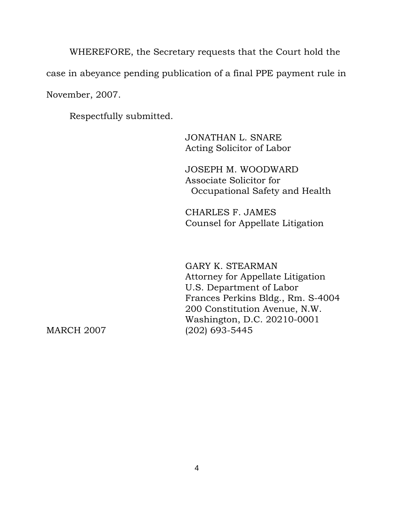WHEREFORE, the Secretary requests that the Court hold the case in abeyance pending publication of a final PPE payment rule in November, 2007.

Respectfully submitted.

 JONATHAN L. SNARE Acting Solicitor of Labor

 JOSEPH M. WOODWARD Associate Solicitor for Occupational Safety and Health

 CHARLES F. JAMES Counsel for Appellate Litigation

 GARY K. STEARMAN Attorney for Appellate Litigation U.S. Department of Labor Frances Perkins Bldg., Rm. S-4004 200 Constitution Avenue, N.W. Washington, D.C. 20210-0001 MARCH 2007 (202) 693-5445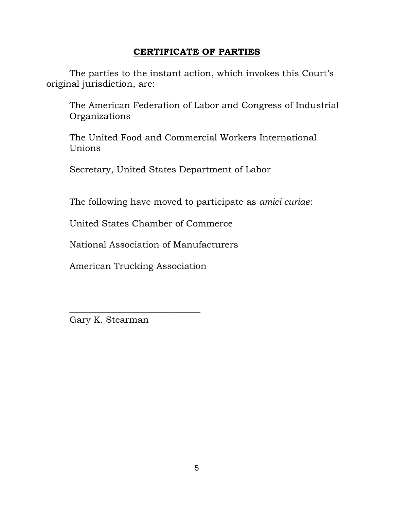## **CERTIFICATE OF PARTIES**

The parties to the instant action, which invokes this Court's original jurisdiction, are:

The American Federation of Labor and Congress of Industrial Organizations

The United Food and Commercial Workers International Unions

Secretary, United States Department of Labor

The following have moved to participate as *amici curiae*:

United States Chamber of Commerce

National Association of Manufacturers

American Trucking Association

\_\_\_\_\_\_\_\_\_\_\_\_\_\_\_\_\_\_\_\_\_\_\_\_\_\_\_\_\_

Gary K. Stearman